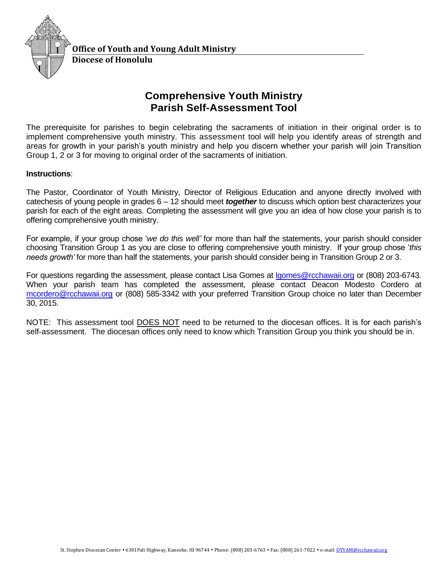

## **Diocese of Honolulu**

# **Comprehensive Youth Ministry Parish Self-Assessment Tool**

The prerequisite for parishes to begin celebrating the sacraments of initiation in their original order is to implement comprehensive youth ministry. This assessment tool will help you identify areas of strength and areas for growth in your parish's youth ministry and help you discern whether your parish will join Transition Group 1, 2 or 3 for moving to original order of the sacraments of initiation.

#### **Instructions**:

The Pastor, Coordinator of Youth Ministry, Director of Religious Education and anyone directly involved with catechesis of young people in grades 6 – 12 should meet *together* to discuss which option best characterizes your parish for each of the eight areas. Completing the assessment will give you an idea of how close your parish is to offering comprehensive youth ministry.

For example, if your group chose '*we do this well'* for more than half the statements, your parish should consider choosing Transition Group 1 as you are close to offering comprehensive youth ministry. If your group chose '*this needs growth'* for more than half the statements, your parish should consider being in Transition Group 2 or 3.

For questions regarding the assessment, please contact Lisa Gomes at [lgomes@rcchawaii.org](mailto:lgomes@rcchawaii.org) or (808) 203-6743. When your parish team has completed the assessment, please contact Deacon Modesto Cordero at [mcordero@rcchawaii.org](mailto:mcordero@rcchawaii.org) or (808) 585-3342 with your preferred Transition Group choice no later than December 30, 2015.

NOTE: This assessment tool DOES NOT need to be returned to the diocesan offices. It is for each parish's self-assessment. The diocesan offices only need to know which Transition Group you think you should be in.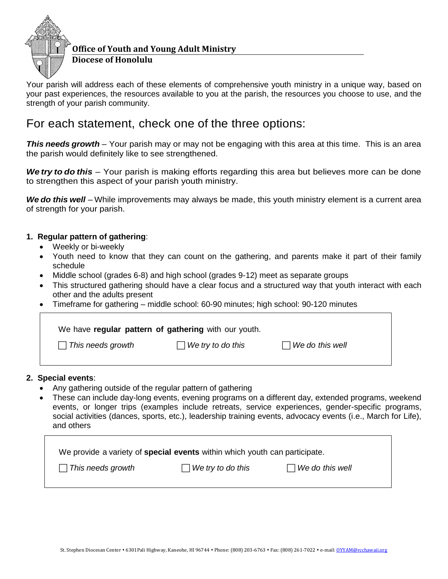

#### **Diocese of Honolulu**

Your parish will address each of these elements of comprehensive youth ministry in a unique way, based on your past experiences, the resources available to you at the parish, the resources you choose to use, and the strength of your parish community.

# For each statement, check one of the three options:

*This needs growth* – Your parish may or may not be engaging with this area at this time. This is an area the parish would definitely like to see strengthened.

*We try to do this* – Your parish is making efforts regarding this area but believes more can be done to strengthen this aspect of your parish youth ministry.

*We do this well* – While improvements may always be made, this youth ministry element is a current area of strength for your parish.

#### **1. Regular pattern of gathering**:

- Weekly or bi-weekly
- Youth need to know that they can count on the gathering, and parents make it part of their family schedule
- Middle school (grades 6-8) and high school (grades 9-12) meet as separate groups
- This structured gathering should have a clear focus and a structured way that youth interact with each other and the adults present
- Timeframe for gathering middle school: 60-90 minutes; high school: 90-120 minutes

| We have regular pattern of gathering with our youth. |                          |                        |  |
|------------------------------------------------------|--------------------------|------------------------|--|
| $\Box$ This needs growth                             | $\Box$ We try to do this | $\Box$ We do this well |  |
|                                                      |                          |                        |  |

- **2. Special events**:
	- Any gathering outside of the regular pattern of gathering
	- These can include day-long events, evening programs on a different day, extended programs, weekend events, or longer trips (examples include retreats, service experiences, gender-specific programs, social activities (dances, sports, etc.), leadership training events, advocacy events (i.e., March for Life), and others

| We provide a variety of special events within which youth can participate. |                          |                        |
|----------------------------------------------------------------------------|--------------------------|------------------------|
| $\Box$ This needs growth                                                   | $\Box$ We try to do this | $\Box$ We do this well |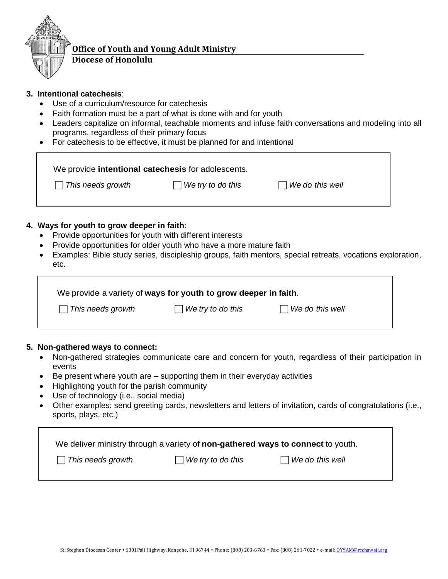

 **Diocese of Honolulu**

#### **3. Intentional catechesis**:

- Use of a curriculum/resource for catechesis
- Faith formation must be a part of what is done with and for youth
- Leaders capitalize on informal, teachable moments and infuse faith conversations and modeling into all programs, regardless of their primary focus
- For catechesis to be effective, it must be planned for and intentional

|                          | We provide intentional catechesis for adolescents. |                        |
|--------------------------|----------------------------------------------------|------------------------|
| $\Box$ This needs growth | $\Box$ We try to do this                           | $\Box$ We do this well |

#### **4. Ways for youth to grow deeper in faith**:

- Provide opportunities for youth with different interests
- Provide opportunities for older youth who have a more mature faith
- Examples: Bible study series, discipleship groups, faith mentors, special retreats, vocations exploration, etc.

|                          | We provide a variety of ways for youth to grow deeper in faith. |                        |  |
|--------------------------|-----------------------------------------------------------------|------------------------|--|
| $\Box$ This needs growth | $\top$ We try to do this                                        | $\Box$ We do this well |  |

#### **5. Non-gathered ways to connect:**

- Non-gathered strategies communicate care and concern for youth, regardless of their participation in events
- $\bullet$  Be present where youth are  $-$  supporting them in their everyday activities
- Highlighting youth for the parish community
- Use of technology (i.e., social media)
- Other examples: send greeting cards, newsletters and letters of invitation, cards of congratulations (i.e., sports, plays, etc.)

| We deliver ministry through a variety of <b>non-gathered ways to connect</b> to youth. |                          |                        |
|----------------------------------------------------------------------------------------|--------------------------|------------------------|
| $\Box$ This needs growth                                                               | $\top$ We try to do this | $\Box$ We do this well |